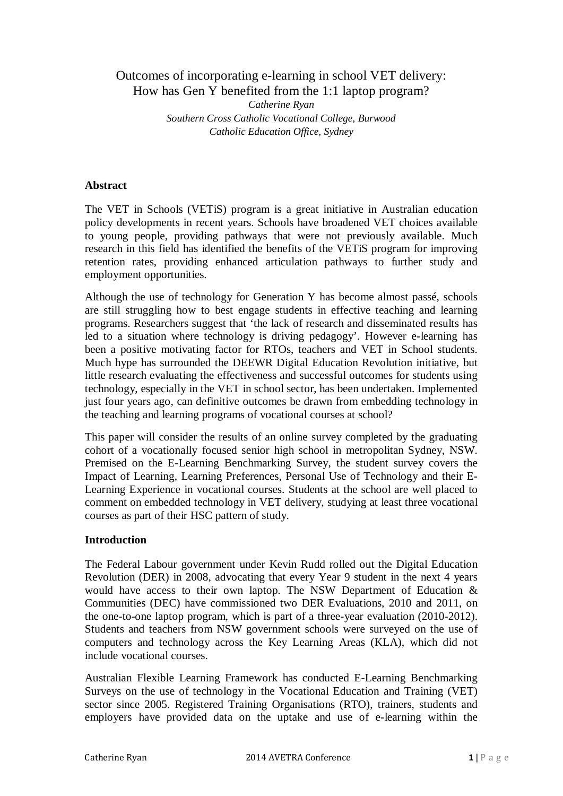# Outcomes of incorporating e-learning in school VET delivery: How has Gen Y benefited from the 1:1 laptop program? *Catherine Ryan Southern Cross Catholic Vocational College, Burwood Catholic Education Office, Sydney*

### **Abstract**

The VET in Schools (VETiS) program is a great initiative in Australian education policy developments in recent years. Schools have broadened VET choices available to young people, providing pathways that were not previously available. Much research in this field has identified the benefits of the VETiS program for improving retention rates, providing enhanced articulation pathways to further study and employment opportunities.

Although the use of technology for Generation Y has become almost passé, schools are still struggling how to best engage students in effective teaching and learning programs. Researchers suggest that 'the lack of research and disseminated results has led to a situation where technology is driving pedagogy'. However e-learning has been a positive motivating factor for RTOs, teachers and VET in School students. Much hype has surrounded the DEEWR Digital Education Revolution initiative, but little research evaluating the effectiveness and successful outcomes for students using technology, especially in the VET in school sector, has been undertaken. Implemented just four years ago, can definitive outcomes be drawn from embedding technology in the teaching and learning programs of vocational courses at school?

This paper will consider the results of an online survey completed by the graduating cohort of a vocationally focused senior high school in metropolitan Sydney, NSW. Premised on the E-Learning Benchmarking Survey, the student survey covers the Impact of Learning, Learning Preferences, Personal Use of Technology and their E-Learning Experience in vocational courses. Students at the school are well placed to comment on embedded technology in VET delivery, studying at least three vocational courses as part of their HSC pattern of study.

### **Introduction**

The Federal Labour government under Kevin Rudd rolled out the Digital Education Revolution (DER) in 2008, advocating that every Year 9 student in the next 4 years would have access to their own laptop. The NSW Department of Education & Communities (DEC) have commissioned two DER Evaluations, 2010 and 2011, on the one-to-one laptop program, which is part of a three-year evaluation (2010-2012). Students and teachers from NSW government schools were surveyed on the use of computers and technology across the Key Learning Areas (KLA), which did not include vocational courses.

Australian Flexible Learning Framework has conducted E-Learning Benchmarking Surveys on the use of technology in the Vocational Education and Training (VET) sector since 2005. Registered Training Organisations (RTO), trainers, students and employers have provided data on the uptake and use of e-learning within the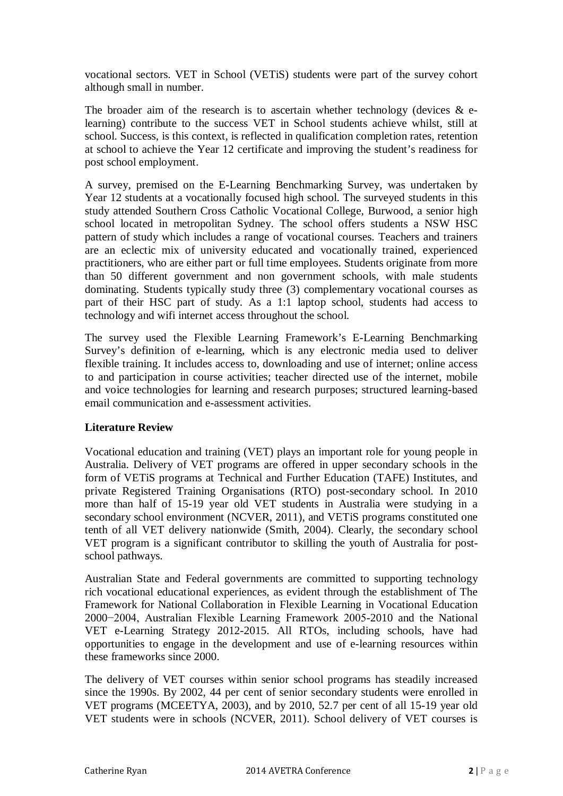vocational sectors. VET in School (VETiS) students were part of the survey cohort although small in number.

The broader aim of the research is to ascertain whether technology (devices  $\&$  elearning) contribute to the success VET in School students achieve whilst, still at school. Success, is this context, is reflected in qualification completion rates, retention at school to achieve the Year 12 certificate and improving the student's readiness for post school employment.

A survey, premised on the E-Learning Benchmarking Survey, was undertaken by Year 12 students at a vocationally focused high school. The surveyed students in this study attended Southern Cross Catholic Vocational College, Burwood, a senior high school located in metropolitan Sydney. The school offers students a NSW HSC pattern of study which includes a range of vocational courses. Teachers and trainers are an eclectic mix of university educated and vocationally trained, experienced practitioners, who are either part or full time employees. Students originate from more than 50 different government and non government schools, with male students dominating. Students typically study three (3) complementary vocational courses as part of their HSC part of study. As a 1:1 laptop school, students had access to technology and wifi internet access throughout the school.

The survey used the Flexible Learning Framework's E-Learning Benchmarking Survey's definition of e-learning, which is any electronic media used to deliver flexible training. It includes access to, downloading and use of internet; online access to and participation in course activities; teacher directed use of the internet, mobile and voice technologies for learning and research purposes; structured learning-based email communication and e-assessment activities.

### **Literature Review**

Vocational education and training (VET) plays an important role for young people in Australia. Delivery of VET programs are offered in upper secondary schools in the form of VETiS programs at Technical and Further Education (TAFE) Institutes, and private Registered Training Organisations (RTO) post-secondary school. In 2010 more than half of 15-19 year old VET students in Australia were studying in a secondary school environment (NCVER, 2011), and VETiS programs constituted one tenth of all VET delivery nationwide (Smith, 2004). Clearly, the secondary school VET program is a significant contributor to skilling the youth of Australia for postschool pathways.

Australian State and Federal governments are committed to supporting technology rich vocational educational experiences, as evident through the establishment of The Framework for National Collaboration in Flexible Learning in Vocational Education 2000−2004, Australian Flexible Learning Framework 2005-2010 and the National VET e-Learning Strategy 2012-2015. All RTOs, including schools, have had opportunities to engage in the development and use of e-learning resources within these frameworks since 2000.

The delivery of VET courses within senior school programs has steadily increased since the 1990s. By 2002, 44 per cent of senior secondary students were enrolled in VET programs (MCEETYA, 2003), and by 2010, 52.7 per cent of all 15-19 year old VET students were in schools (NCVER, 2011). School delivery of VET courses is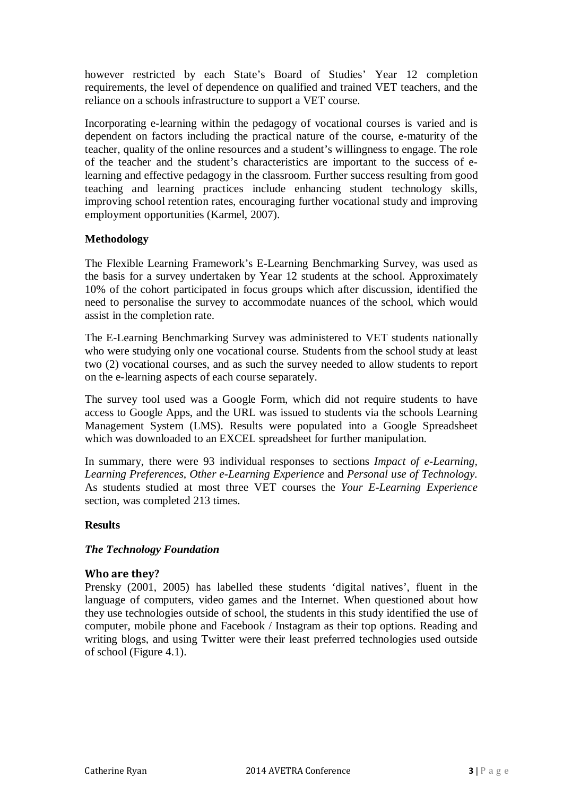however restricted by each State's Board of Studies' Year 12 completion requirements, the level of dependence on qualified and trained VET teachers, and the reliance on a schools infrastructure to support a VET course.

Incorporating e-learning within the pedagogy of vocational courses is varied and is dependent on factors including the practical nature of the course, e-maturity of the teacher, quality of the online resources and a student's willingness to engage. The role of the teacher and the student's characteristics are important to the success of elearning and effective pedagogy in the classroom. Further success resulting from good teaching and learning practices include enhancing student technology skills, improving school retention rates, encouraging further vocational study and improving employment opportunities (Karmel, 2007).

# **Methodology**

The Flexible Learning Framework's E-Learning Benchmarking Survey, was used as the basis for a survey undertaken by Year 12 students at the school. Approximately 10% of the cohort participated in focus groups which after discussion, identified the need to personalise the survey to accommodate nuances of the school, which would assist in the completion rate.

The E-Learning Benchmarking Survey was administered to VET students nationally who were studying only one vocational course. Students from the school study at least two (2) vocational courses, and as such the survey needed to allow students to report on the e-learning aspects of each course separately.

The survey tool used was a Google Form, which did not require students to have access to Google Apps, and the URL was issued to students via the schools Learning Management System (LMS). Results were populated into a Google Spreadsheet which was downloaded to an EXCEL spreadsheet for further manipulation.

In summary, there were 93 individual responses to sections *Impact of e-Learning, Learning Preferences*, *Other e-Learning Experience* and *Personal use of Technology.*  As students studied at most three VET courses the *Your E-Learning Experience* section, was completed 213 times.

### **Results**

### *The Technology Foundation*

#### **Who are they?**

Prensky (2001, 2005) has labelled these students 'digital natives', fluent in the language of computers, video games and the Internet. When questioned about how they use technologies outside of school, the students in this study identified the use of computer, mobile phone and Facebook / Instagram as their top options. Reading and writing blogs, and using Twitter were their least preferred technologies used outside of school (Figure 4.1).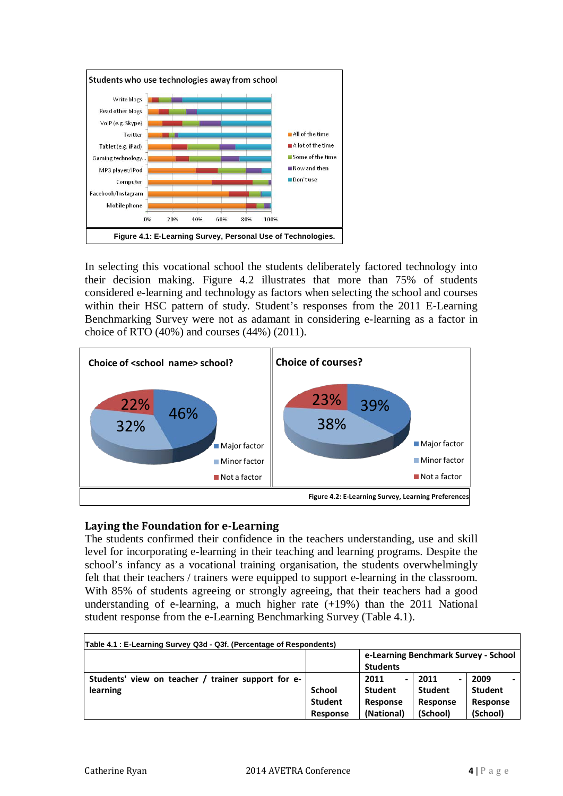

In selecting this vocational school the students deliberately factored technology into their decision making. Figure 4.2 illustrates that more than 75% of students considered e-learning and technology as factors when selecting the school and courses within their HSC pattern of study. Student's responses from the 2011 E-Learning Benchmarking Survey were not as adamant in considering e-learning as a factor in choice of RTO (40%) and courses (44%) (2011).



# **Laying the Foundation for e-Learning**

The students confirmed their confidence in the teachers understanding, use and skill level for incorporating e-learning in their teaching and learning programs. Despite the school's infancy as a vocational training organisation, the students overwhelmingly felt that their teachers / trainers were equipped to support e-learning in the classroom. With 85% of students agreeing or strongly agreeing, that their teachers had a good understanding of e-learning, a much higher rate  $(+19%)$  than the 2011 National student response from the e-Learning Benchmarking Survey (Table 4.1).

| Table 4.1 : E-Learning Survey Q3d - Q3f. (Percentage of Respondents) |                |                                      |                |                |  |
|----------------------------------------------------------------------|----------------|--------------------------------------|----------------|----------------|--|
|                                                                      |                | e-Learning Benchmark Survey - School |                |                |  |
|                                                                      |                | <b>Students</b>                      |                |                |  |
| Students' view on teacher / trainer support for e-                   |                | 2011<br>$\overline{\phantom{0}}$     | 2011<br>-      | 2009           |  |
| learning                                                             | School         | <b>Student</b>                       | <b>Student</b> | <b>Student</b> |  |
|                                                                      | <b>Student</b> | <b>Response</b>                      | Response       | Response       |  |
|                                                                      | Response       | (National)                           | (School)       | (School)       |  |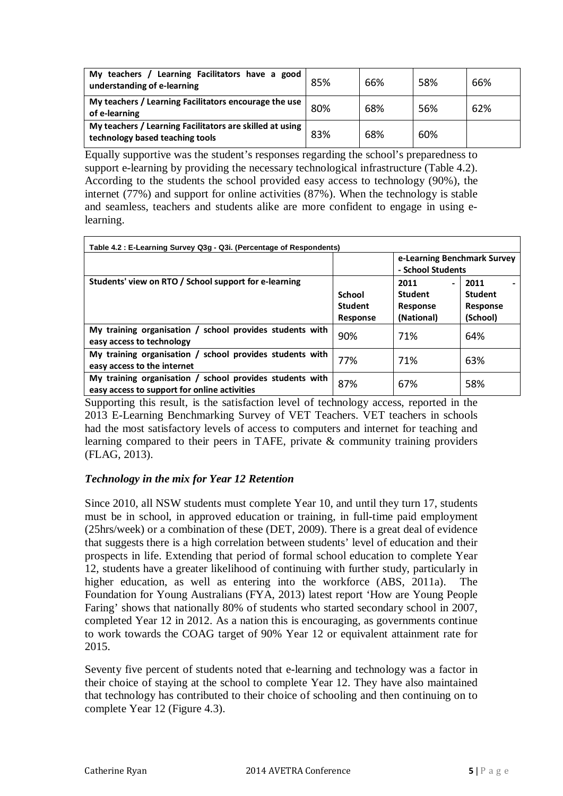| Learning Facilitators have a good<br>My teachers $/$<br>understanding of e-learning         | 85% | 66% | 58% | 66% |
|---------------------------------------------------------------------------------------------|-----|-----|-----|-----|
| My teachers / Learning Facilitators encourage the use<br>of e-learning                      | 80% | 68% | 56% | 62% |
| My teachers / Learning Facilitators are skilled at using<br>technology based teaching tools | 83% | 68% | 60% |     |

Equally supportive was the student's responses regarding the school's preparedness to support e-learning by providing the necessary technological infrastructure (Table 4.2). According to the students the school provided easy access to technology (90%), the internet (77%) and support for online activities (87%). When the technology is stable and seamless, teachers and students alike are more confident to engage in using elearning.

| Table 4.2: E-Learning Survey Q3g - Q3i. (Percentage of Respondents)                                      |                                                    |                                                        |                                                |  |  |
|----------------------------------------------------------------------------------------------------------|----------------------------------------------------|--------------------------------------------------------|------------------------------------------------|--|--|
|                                                                                                          |                                                    | e-Learning Benchmark Survey<br>- School Students       |                                                |  |  |
| Students' view on RTO / School support for e-learning                                                    | <b>School</b><br><b>Student</b><br><b>Response</b> | 2011<br>Ξ.<br><b>Student</b><br>Response<br>(National) | 2011<br><b>Student</b><br>Response<br>(School) |  |  |
| My training organisation / school provides students with<br>easy access to technology                    | 90%                                                | 71%                                                    | 64%                                            |  |  |
| My training organisation / school provides students with<br>easy access to the internet                  | 77%                                                | 71%                                                    | 63%                                            |  |  |
| My training organisation / school provides students with<br>easy access to support for online activities | 87%                                                | 67%                                                    | 58%                                            |  |  |

Supporting this result, is the satisfaction level of technology access, reported in the 2013 E-Learning Benchmarking Survey of VET Teachers. VET teachers in schools had the most satisfactory levels of access to computers and internet for teaching and learning compared to their peers in TAFE, private & community training providers (FLAG, 2013).

# *Technology in the mix for Year 12 Retention*

Since 2010, all NSW students must complete Year 10, and until they turn 17, students must be in school, in approved education or training, in full-time paid employment (25hrs/week) or a combination of these (DET, 2009). There is a great deal of evidence that suggests there is a high correlation between students' level of education and their prospects in life. Extending that period of formal school education to complete Year 12, students have a greater likelihood of continuing with further study, particularly in higher education, as well as entering into the workforce (ABS, 2011a). The Foundation for Young Australians (FYA, 2013) latest report 'How are Young People Faring' shows that nationally 80% of students who started secondary school in 2007, completed Year 12 in 2012. As a nation this is encouraging, as governments continue to work towards the COAG target of 90% Year 12 or equivalent attainment rate for 2015.

Seventy five percent of students noted that e-learning and technology was a factor in their choice of staying at the school to complete Year 12. They have also maintained that technology has contributed to their choice of schooling and then continuing on to complete Year 12 (Figure 4.3).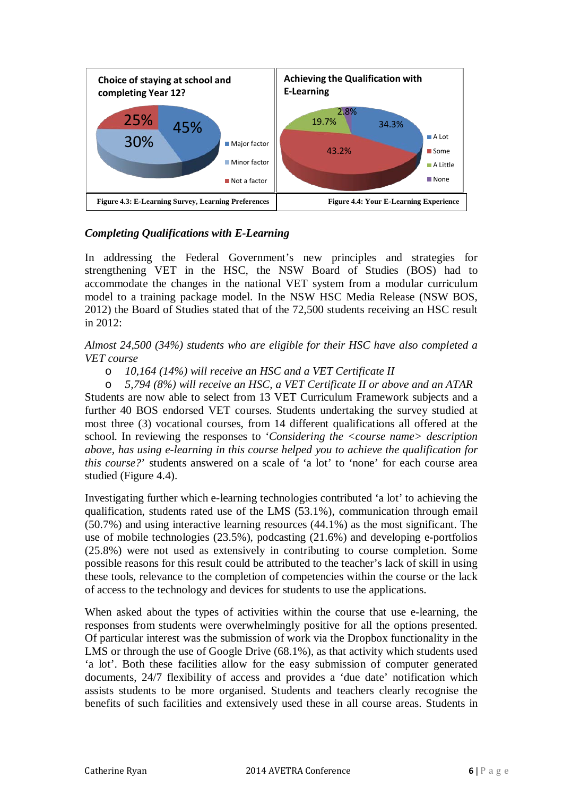

# *Completing Qualifications with E-Learning*

In addressing the Federal Government's new principles and strategies for strengthening VET in the HSC, the NSW Board of Studies (BOS) had to accommodate the changes in the national VET system from a modular curriculum model to a training package model. In the NSW HSC Media Release (NSW BOS, 2012) the Board of Studies stated that of the 72,500 students receiving an HSC result in 2012:

# *Almost 24,500 (34%) students who are eligible for their HSC have also completed a VET course*

### o *10,164 (14%) will receive an HSC and a VET Certificate II*

o *5,794 (8%) will receive an HSC, a VET Certificate II or above and an ATAR*  Students are now able to select from 13 VET Curriculum Framework subjects and a further 40 BOS endorsed VET courses. Students undertaking the survey studied at most three (3) vocational courses, from 14 different qualifications all offered at the school. In reviewing the responses to '*Considering the <course name> description above, has using e-learning in this course helped you to achieve the qualification for this course?*' students answered on a scale of 'a lot' to 'none' for each course area studied (Figure 4.4).

Investigating further which e-learning technologies contributed 'a lot' to achieving the qualification, students rated use of the LMS (53.1%), communication through email (50.7%) and using interactive learning resources (44.1%) as the most significant. The use of mobile technologies (23.5%), podcasting (21.6%) and developing e-portfolios (25.8%) were not used as extensively in contributing to course completion. Some possible reasons for this result could be attributed to the teacher's lack of skill in using these tools, relevance to the completion of competencies within the course or the lack of access to the technology and devices for students to use the applications.

When asked about the types of activities within the course that use e-learning, the responses from students were overwhelmingly positive for all the options presented. Of particular interest was the submission of work via the Dropbox functionality in the LMS or through the use of Google Drive (68.1%), as that activity which students used 'a lot'. Both these facilities allow for the easy submission of computer generated documents, 24/7 flexibility of access and provides a 'due date' notification which assists students to be more organised. Students and teachers clearly recognise the benefits of such facilities and extensively used these in all course areas. Students in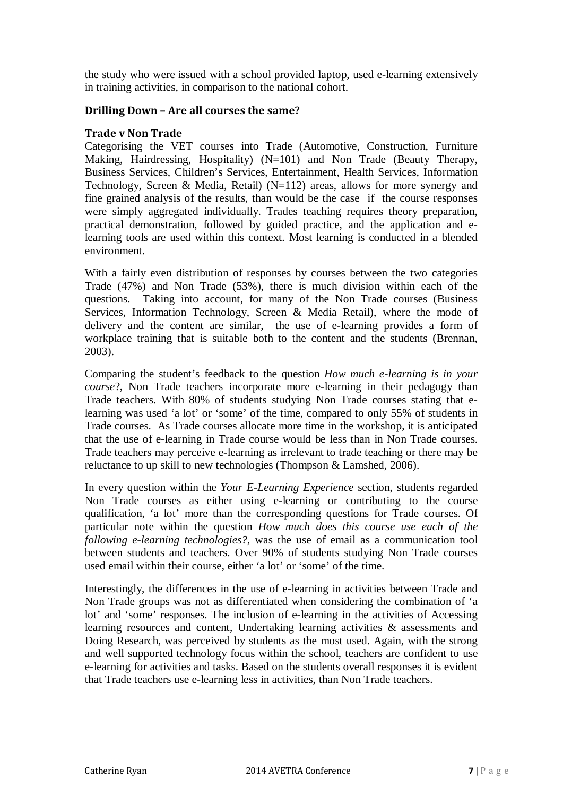the study who were issued with a school provided laptop, used e-learning extensively in training activities, in comparison to the national cohort.

### **Drilling Down – Are all courses the same?**

#### **Trade v Non Trade**

Categorising the VET courses into Trade (Automotive, Construction, Furniture Making, Hairdressing, Hospitality) (N=101) and Non Trade (Beauty Therapy, Business Services, Children's Services, Entertainment, Health Services, Information Technology, Screen & Media, Retail) (N=112) areas, allows for more synergy and fine grained analysis of the results, than would be the case if the course responses were simply aggregated individually. Trades teaching requires theory preparation, practical demonstration, followed by guided practice, and the application and elearning tools are used within this context. Most learning is conducted in a blended environment.

With a fairly even distribution of responses by courses between the two categories Trade (47%) and Non Trade (53%), there is much division within each of the questions. Taking into account, for many of the Non Trade courses (Business Services, Information Technology, Screen & Media Retail), where the mode of delivery and the content are similar, the use of e-learning provides a form of workplace training that is suitable both to the content and the students (Brennan, 2003).

Comparing the student's feedback to the question *How much e-learning is in your course*?, Non Trade teachers incorporate more e-learning in their pedagogy than Trade teachers. With 80% of students studying Non Trade courses stating that elearning was used 'a lot' or 'some' of the time, compared to only 55% of students in Trade courses. As Trade courses allocate more time in the workshop, it is anticipated that the use of e-learning in Trade course would be less than in Non Trade courses. Trade teachers may perceive e-learning as irrelevant to trade teaching or there may be reluctance to up skill to new technologies (Thompson & Lamshed, 2006).

In every question within the *Your E-Learning Experience* section, students regarded Non Trade courses as either using e-learning or contributing to the course qualification, 'a lot' more than the corresponding questions for Trade courses. Of particular note within the question *How much does this course use each of the following e-learning technologies?*, was the use of email as a communication tool between students and teachers. Over 90% of students studying Non Trade courses used email within their course, either 'a lot' or 'some' of the time.

Interestingly, the differences in the use of e-learning in activities between Trade and Non Trade groups was not as differentiated when considering the combination of 'a lot' and 'some' responses. The inclusion of e-learning in the activities of Accessing learning resources and content, Undertaking learning activities & assessments and Doing Research, was perceived by students as the most used. Again, with the strong and well supported technology focus within the school, teachers are confident to use e-learning for activities and tasks. Based on the students overall responses it is evident that Trade teachers use e-learning less in activities, than Non Trade teachers.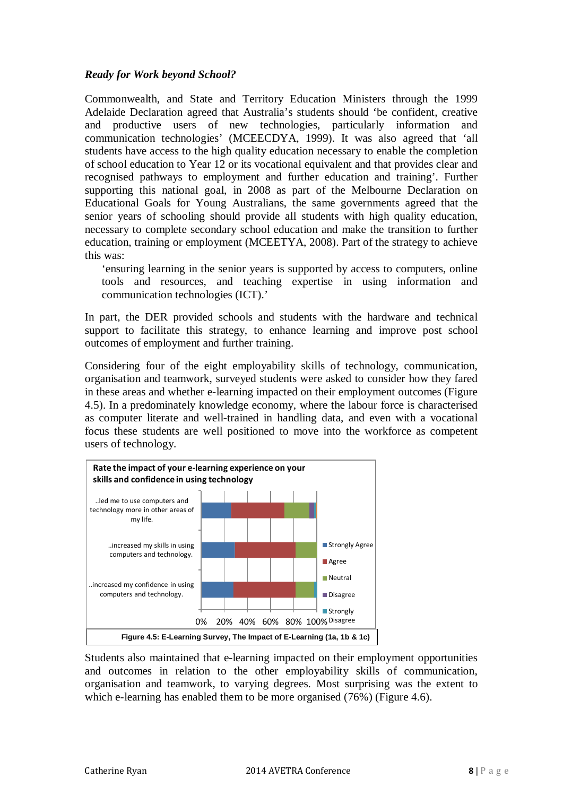# *Ready for Work beyond School?*

Commonwealth, and State and Territory Education Ministers through the 1999 Adelaide Declaration agreed that Australia's students should 'be confident, creative and productive users of new technologies, particularly information and communication technologies' (MCEECDYA, 1999). It was also agreed that 'all students have access to the high quality education necessary to enable the completion of school education to Year 12 or its vocational equivalent and that provides clear and recognised pathways to employment and further education and training'. Further supporting this national goal, in 2008 as part of the Melbourne Declaration on Educational Goals for Young Australians, the same governments agreed that the senior years of schooling should provide all students with high quality education, necessary to complete secondary school education and make the transition to further education, training or employment (MCEETYA, 2008). Part of the strategy to achieve this was:

'ensuring learning in the senior years is supported by access to computers, online tools and resources, and teaching expertise in using information and communication technologies (ICT).'

In part, the DER provided schools and students with the hardware and technical support to facilitate this strategy, to enhance learning and improve post school outcomes of employment and further training.

Considering four of the eight employability skills of technology, communication, organisation and teamwork, surveyed students were asked to consider how they fared in these areas and whether e-learning impacted on their employment outcomes (Figure 4.5). In a predominately knowledge economy, where the labour force is characterised as computer literate and well-trained in handling data, and even with a vocational focus these students are well positioned to move into the workforce as competent users of technology.



Students also maintained that e-learning impacted on their employment opportunities and outcomes in relation to the other employability skills of communication, organisation and teamwork, to varying degrees. Most surprising was the extent to which e-learning has enabled them to be more organised (76%) (Figure 4.6).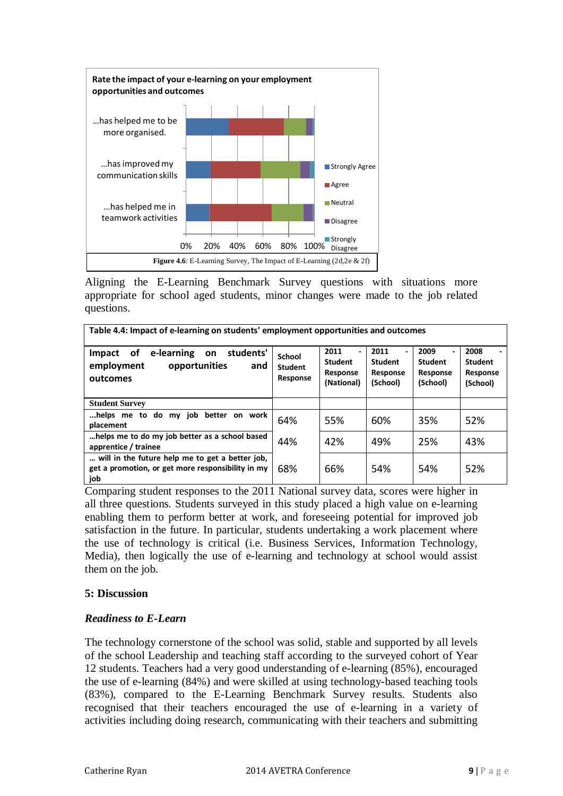

Aligning the E-Learning Benchmark Survey questions with situations more appropriate for school aged students, minor changes were made to the job related questions.

| Table 4.4: Impact of e-learning on students' employment opportunities and outcomes                          |                                      |                                                  |                                                |                                                |                                                |
|-------------------------------------------------------------------------------------------------------------|--------------------------------------|--------------------------------------------------|------------------------------------------------|------------------------------------------------|------------------------------------------------|
| students'<br>e-learning<br>оf<br><b>Impact</b><br>on<br>employment<br>opportunities<br>and<br>outcomes      | School<br><b>Student</b><br>Response | 2011<br><b>Student</b><br>Response<br>(National) | 2011<br><b>Student</b><br>Response<br>(School) | 2009<br><b>Student</b><br>Response<br>(School) | 2008<br><b>Student</b><br>Response<br>(School) |
| <b>Student Survey</b>                                                                                       |                                      |                                                  |                                                |                                                |                                                |
| better on work<br>to do<br>iob<br>helps me…<br>my<br>placement                                              | 64%                                  | 55%                                              | 60%                                            | 35%                                            | 52%                                            |
| helps me to do my job better as a school based<br>apprentice / trainee                                      | 44%                                  | 42%                                              | 49%                                            | 25%                                            | 43%                                            |
| will in the future help me to get a better job,<br>get a promotion, or get more responsibility in my<br>job | 68%                                  | 66%                                              | 54%                                            | 54%                                            | 52%                                            |

Comparing student responses to the 2011 National survey data, scores were higher in all three questions. Students surveyed in this study placed a high value on e-learning enabling them to perform better at work, and foreseeing potential for improved job satisfaction in the future. In particular, students undertaking a work placement where the use of technology is critical (i.e. Business Services, Information Technology, Media), then logically the use of e-learning and technology at school would assist them on the job.

### **5: Discussion**

### *Readiness to E-Learn*

The technology cornerstone of the school was solid, stable and supported by all levels of the school Leadership and teaching staff according to the surveyed cohort of Year 12 students. Teachers had a very good understanding of e-learning (85%), encouraged the use of e-learning (84%) and were skilled at using technology-based teaching tools (83%), compared to the E-Learning Benchmark Survey results. Students also recognised that their teachers encouraged the use of e-learning in a variety of activities including doing research, communicating with their teachers and submitting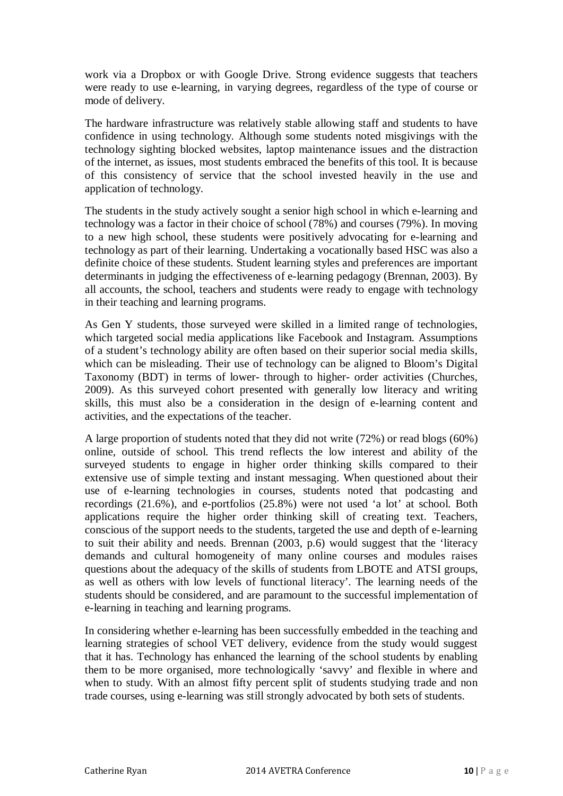work via a Dropbox or with Google Drive. Strong evidence suggests that teachers were ready to use e-learning, in varying degrees, regardless of the type of course or mode of delivery.

The hardware infrastructure was relatively stable allowing staff and students to have confidence in using technology. Although some students noted misgivings with the technology sighting blocked websites, laptop maintenance issues and the distraction of the internet, as issues, most students embraced the benefits of this tool. It is because of this consistency of service that the school invested heavily in the use and application of technology.

The students in the study actively sought a senior high school in which e-learning and technology was a factor in their choice of school (78%) and courses (79%). In moving to a new high school, these students were positively advocating for e-learning and technology as part of their learning. Undertaking a vocationally based HSC was also a definite choice of these students. Student learning styles and preferences are important determinants in judging the effectiveness of e-learning pedagogy (Brennan, 2003). By all accounts, the school, teachers and students were ready to engage with technology in their teaching and learning programs.

As Gen Y students, those surveyed were skilled in a limited range of technologies, which targeted social media applications like Facebook and Instagram. Assumptions of a student's technology ability are often based on their superior social media skills, which can be misleading. Their use of technology can be aligned to Bloom's Digital Taxonomy (BDT) in terms of lower- through to higher- order activities (Churches, 2009). As this surveyed cohort presented with generally low literacy and writing skills, this must also be a consideration in the design of e-learning content and activities, and the expectations of the teacher.

A large proportion of students noted that they did not write (72%) or read blogs (60%) online, outside of school. This trend reflects the low interest and ability of the surveyed students to engage in higher order thinking skills compared to their extensive use of simple texting and instant messaging. When questioned about their use of e-learning technologies in courses, students noted that podcasting and recordings (21.6%), and e-portfolios (25.8%) were not used 'a lot' at school. Both applications require the higher order thinking skill of creating text. Teachers, conscious of the support needs to the students, targeted the use and depth of e-learning to suit their ability and needs. Brennan (2003, p.6) would suggest that the 'literacy demands and cultural homogeneity of many online courses and modules raises questions about the adequacy of the skills of students from LBOTE and ATSI groups, as well as others with low levels of functional literacy'. The learning needs of the students should be considered, and are paramount to the successful implementation of e-learning in teaching and learning programs.

In considering whether e-learning has been successfully embedded in the teaching and learning strategies of school VET delivery, evidence from the study would suggest that it has. Technology has enhanced the learning of the school students by enabling them to be more organised, more technologically 'savvy' and flexible in where and when to study. With an almost fifty percent split of students studying trade and non trade courses, using e-learning was still strongly advocated by both sets of students.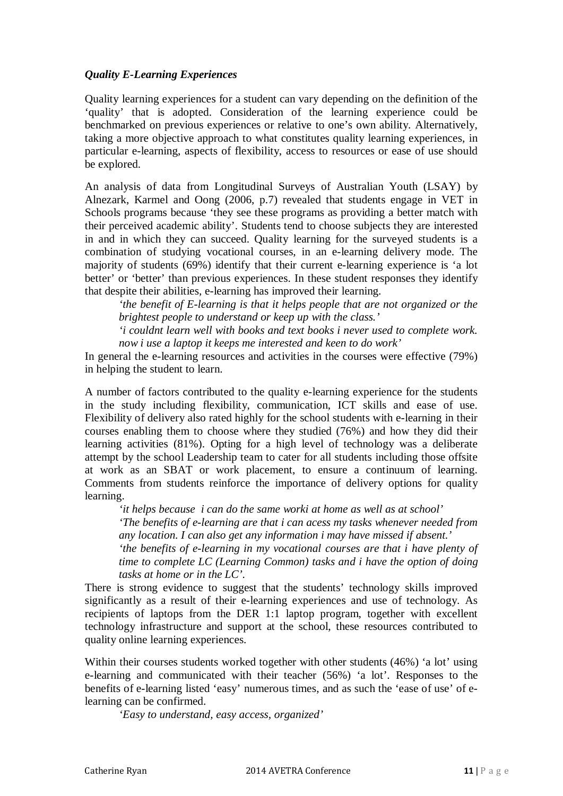# *Quality E-Learning Experiences*

Quality learning experiences for a student can vary depending on the definition of the 'quality' that is adopted. Consideration of the learning experience could be benchmarked on previous experiences or relative to one's own ability. Alternatively, taking a more objective approach to what constitutes quality learning experiences, in particular e-learning, aspects of flexibility, access to resources or ease of use should be explored.

An analysis of data from Longitudinal Surveys of Australian Youth (LSAY) by Alnezark, Karmel and Oong (2006, p.7) revealed that students engage in VET in Schools programs because 'they see these programs as providing a better match with their perceived academic ability'. Students tend to choose subjects they are interested in and in which they can succeed. Quality learning for the surveyed students is a combination of studying vocational courses, in an e-learning delivery mode. The majority of students (69%) identify that their current e-learning experience is 'a lot better' or 'better' than previous experiences. In these student responses they identify that despite their abilities, e-learning has improved their learning.

*'the benefit of E-learning is that it helps people that are not organized or the brightest people to understand or keep up with the class.'*

*'i couldnt learn well with books and text books i never used to complete work. now i use a laptop it keeps me interested and keen to do work'*

In general the e-learning resources and activities in the courses were effective (79%) in helping the student to learn.

A number of factors contributed to the quality e-learning experience for the students in the study including flexibility, communication, ICT skills and ease of use. Flexibility of delivery also rated highly for the school students with e-learning in their courses enabling them to choose where they studied (76%) and how they did their learning activities (81%). Opting for a high level of technology was a deliberate attempt by the school Leadership team to cater for all students including those offsite at work as an SBAT or work placement, to ensure a continuum of learning. Comments from students reinforce the importance of delivery options for quality learning.

*'it helps because i can do the same worki at home as well as at school'*

*'The benefits of e-learning are that i can acess my tasks whenever needed from any location. I can also get any information i may have missed if absent.'*

*'the benefits of e-learning in my vocational courses are that i have plenty of time to complete LC (Learning Common) tasks and i have the option of doing tasks at home or in the LC'.*

There is strong evidence to suggest that the students' technology skills improved significantly as a result of their e-learning experiences and use of technology. As recipients of laptops from the DER 1:1 laptop program, together with excellent technology infrastructure and support at the school, these resources contributed to quality online learning experiences.

Within their courses students worked together with other students (46%) 'a lot' using e-learning and communicated with their teacher (56%) 'a lot'. Responses to the benefits of e-learning listed 'easy' numerous times, and as such the 'ease of use' of elearning can be confirmed.

*'Easy to understand, easy access, organized'*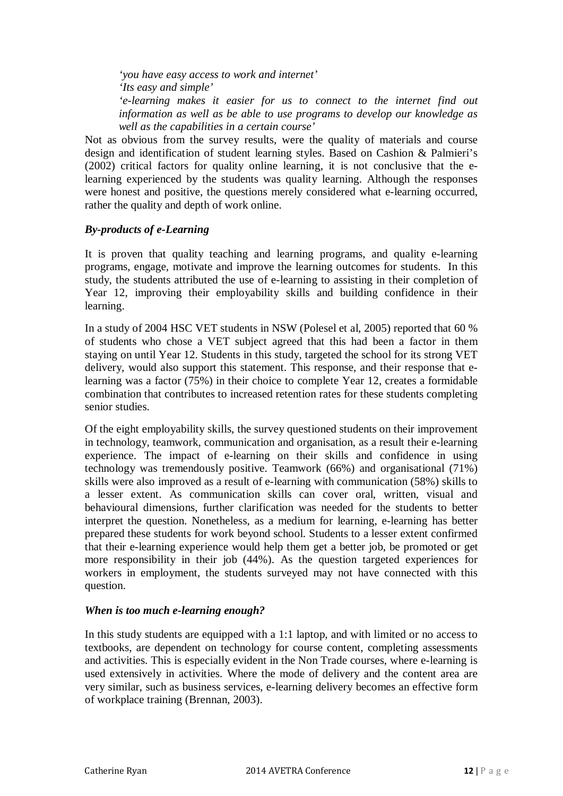*'you have easy access to work and internet' 'Its easy and simple' 'e-learning makes it easier for us to connect to the internet find out information as well as be able to use programs to develop our knowledge as well as the capabilities in a certain course'*

Not as obvious from the survey results, were the quality of materials and course design and identification of student learning styles. Based on Cashion & Palmieri's (2002) critical factors for quality online learning, it is not conclusive that the elearning experienced by the students was quality learning. Although the responses were honest and positive, the questions merely considered what e-learning occurred, rather the quality and depth of work online.

# *By-products of e-Learning*

It is proven that quality teaching and learning programs, and quality e-learning programs, engage, motivate and improve the learning outcomes for students. In this study, the students attributed the use of e-learning to assisting in their completion of Year 12, improving their employability skills and building confidence in their learning.

In a study of 2004 HSC VET students in NSW (Polesel et al, 2005) reported that 60 % of students who chose a VET subject agreed that this had been a factor in them staying on until Year 12. Students in this study, targeted the school for its strong VET delivery, would also support this statement. This response, and their response that elearning was a factor (75%) in their choice to complete Year 12, creates a formidable combination that contributes to increased retention rates for these students completing senior studies.

Of the eight employability skills, the survey questioned students on their improvement in technology, teamwork, communication and organisation, as a result their e-learning experience. The impact of e-learning on their skills and confidence in using technology was tremendously positive. Teamwork (66%) and organisational (71%) skills were also improved as a result of e-learning with communication (58%) skills to a lesser extent. As communication skills can cover oral, written, visual and behavioural dimensions, further clarification was needed for the students to better interpret the question. Nonetheless, as a medium for learning, e-learning has better prepared these students for work beyond school. Students to a lesser extent confirmed that their e-learning experience would help them get a better job, be promoted or get more responsibility in their job (44%). As the question targeted experiences for workers in employment, the students surveyed may not have connected with this question.

### *When is too much e-learning enough?*

In this study students are equipped with a 1:1 laptop, and with limited or no access to textbooks, are dependent on technology for course content, completing assessments and activities. This is especially evident in the Non Trade courses, where e-learning is used extensively in activities. Where the mode of delivery and the content area are very similar, such as business services, e-learning delivery becomes an effective form of workplace training (Brennan, 2003).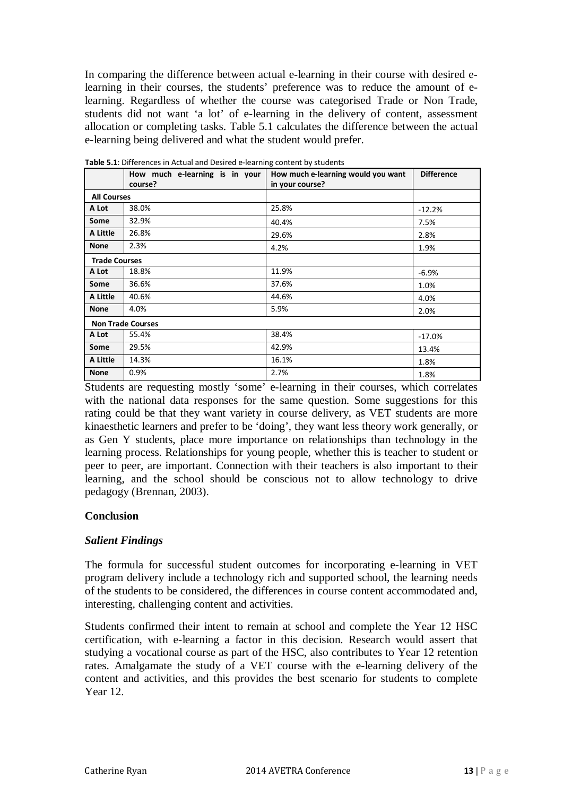In comparing the difference between actual e-learning in their course with desired elearning in their courses, the students' preference was to reduce the amount of elearning. Regardless of whether the course was categorised Trade or Non Trade, students did not want 'a lot' of e-learning in the delivery of content, assessment allocation or completing tasks. Table 5.1 calculates the difference between the actual e-learning being delivered and what the student would prefer.

|                          | How much e-learning is in your<br>course? | How much e-learning would you want<br>in your course? | <b>Difference</b> |  |  |
|--------------------------|-------------------------------------------|-------------------------------------------------------|-------------------|--|--|
| <b>All Courses</b>       |                                           |                                                       |                   |  |  |
| A Lot                    | 38.0%                                     | 25.8%                                                 | $-12.2%$          |  |  |
| Some                     | 32.9%                                     | 40.4%                                                 | 7.5%              |  |  |
| A Little                 | 26.8%                                     | 29.6%                                                 | 2.8%              |  |  |
| <b>None</b>              | 2.3%                                      | 4.2%                                                  | 1.9%              |  |  |
| <b>Trade Courses</b>     |                                           |                                                       |                   |  |  |
| A Lot                    | 18.8%                                     | 11.9%                                                 | $-6.9%$           |  |  |
| Some                     | 36.6%                                     | 37.6%                                                 | 1.0%              |  |  |
| A Little                 | 40.6%                                     | 44.6%                                                 | 4.0%              |  |  |
| <b>None</b>              | 4.0%                                      | 5.9%                                                  | 2.0%              |  |  |
| <b>Non Trade Courses</b> |                                           |                                                       |                   |  |  |
| A Lot                    | 55.4%                                     | 38.4%                                                 | -17.0%            |  |  |
| Some                     | 29.5%                                     | 42.9%                                                 | 13.4%             |  |  |
| A Little                 | 14.3%                                     | 16.1%                                                 | 1.8%              |  |  |
| <b>None</b>              | 0.9%                                      | 2.7%                                                  | 1.8%              |  |  |

**Table 5.1**: Differences in Actual and Desired e-learning content by students

Students are requesting mostly 'some' e-learning in their courses, which correlates with the national data responses for the same question. Some suggestions for this rating could be that they want variety in course delivery, as VET students are more kinaesthetic learners and prefer to be 'doing', they want less theory work generally, or as Gen Y students, place more importance on relationships than technology in the learning process. Relationships for young people, whether this is teacher to student or peer to peer, are important. Connection with their teachers is also important to their learning, and the school should be conscious not to allow technology to drive pedagogy (Brennan, 2003).

### **Conclusion**

#### *Salient Findings*

The formula for successful student outcomes for incorporating e-learning in VET program delivery include a technology rich and supported school, the learning needs of the students to be considered, the differences in course content accommodated and, interesting, challenging content and activities.

Students confirmed their intent to remain at school and complete the Year 12 HSC certification, with e-learning a factor in this decision. Research would assert that studying a vocational course as part of the HSC, also contributes to Year 12 retention rates. Amalgamate the study of a VET course with the e-learning delivery of the content and activities, and this provides the best scenario for students to complete Year 12.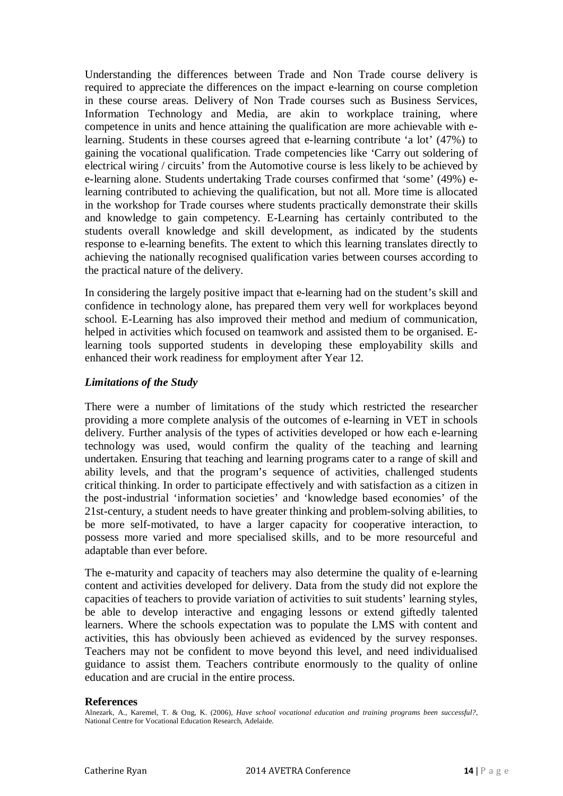Understanding the differences between Trade and Non Trade course delivery is required to appreciate the differences on the impact e-learning on course completion in these course areas. Delivery of Non Trade courses such as Business Services, Information Technology and Media, are akin to workplace training, where competence in units and hence attaining the qualification are more achievable with elearning. Students in these courses agreed that e-learning contribute 'a lot' (47%) to gaining the vocational qualification. Trade competencies like 'Carry out soldering of electrical wiring / circuits' from the Automotive course is less likely to be achieved by e-learning alone. Students undertaking Trade courses confirmed that 'some' (49%) elearning contributed to achieving the qualification, but not all. More time is allocated in the workshop for Trade courses where students practically demonstrate their skills and knowledge to gain competency. E-Learning has certainly contributed to the students overall knowledge and skill development, as indicated by the students response to e-learning benefits. The extent to which this learning translates directly to achieving the nationally recognised qualification varies between courses according to the practical nature of the delivery.

In considering the largely positive impact that e-learning had on the student's skill and confidence in technology alone, has prepared them very well for workplaces beyond school. E-Learning has also improved their method and medium of communication, helped in activities which focused on teamwork and assisted them to be organised. Elearning tools supported students in developing these employability skills and enhanced their work readiness for employment after Year 12.

# *Limitations of the Study*

There were a number of limitations of the study which restricted the researcher providing a more complete analysis of the outcomes of e-learning in VET in schools delivery. Further analysis of the types of activities developed or how each e-learning technology was used, would confirm the quality of the teaching and learning undertaken. Ensuring that teaching and learning programs cater to a range of skill and ability levels, and that the program's sequence of activities, challenged students critical thinking. In order to participate effectively and with satisfaction as a citizen in the post-industrial 'information societies' and 'knowledge based economies' of the 21st-century, a student needs to have greater thinking and problem-solving abilities, to be more self-motivated, to have a larger capacity for cooperative interaction, to possess more varied and more specialised skills, and to be more resourceful and adaptable than ever before.

The e-maturity and capacity of teachers may also determine the quality of e-learning content and activities developed for delivery. Data from the study did not explore the capacities of teachers to provide variation of activities to suit students' learning styles, be able to develop interactive and engaging lessons or extend giftedly talented learners. Where the schools expectation was to populate the LMS with content and activities, this has obviously been achieved as evidenced by the survey responses. Teachers may not be confident to move beyond this level, and need individualised guidance to assist them. Teachers contribute enormously to the quality of online education and are crucial in the entire process.

#### **References**

Alnezark, A., Karemel, T. & Ong, K. (2006), *Have school vocational education and training programs been successful?*, National Centre for Vocational Education Research, Adelaide.